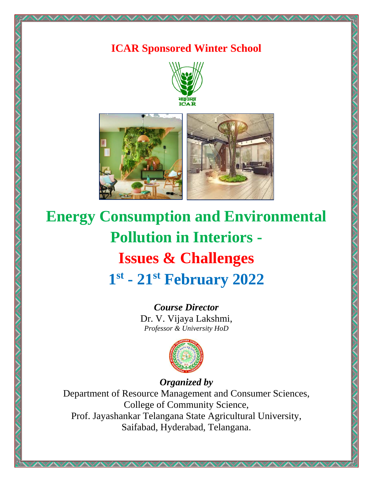# **ICAR Sponsored Winter School**





# **Energy Consumption and Environmental Pollution in Interiors - Issues & Challenges 1 st - 21st February 2022**

*Course Director* Dr. V. Vijaya Lakshmi, *Professor & University HoD*



*Organized by*

Department of Resource Management and Consumer Sciences, College of Community Science, Prof. Jayashankar Telangana State Agricultural University, Saifabad, Hyderabad, Telangana.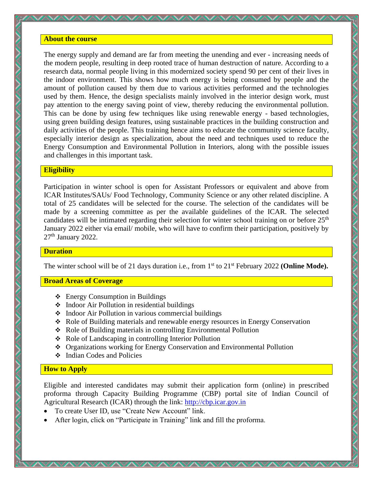#### **About the course**

The energy supply and demand are far from meeting the unending and ever - increasing needs of the modern people, resulting in deep rooted trace of human destruction of nature. According to a research data, normal people living in this modernized society spend 90 per cent of their lives in the indoor environment. This shows how much energy is being consumed by people and the amount of pollution caused by them due to various activities performed and the technologies used by them. Hence, the design specialists mainly involved in the interior design work, must pay attention to the energy saving point of view, thereby reducing the environmental pollution. This can be done by using few techniques like using renewable energy - based technologies, using green building design features, using sustainable practices in the building construction and daily activities of the people. This training hence aims to educate the community science faculty, especially interior design as specialization, about the need and techniques used to reduce the Energy Consumption and Environmental Pollution in Interiors, along with the possible issues and challenges in this important task.

#### **Eligibility**

Participation in winter school is open for Assistant Professors or equivalent and above from ICAR Institutes/SAUs/ Food Technology, Community Science or any other related discipline. A total of 25 candidates will be selected for the course. The selection of the candidates will be made by a screening committee as per the available guidelines of the ICAR. The selected candidates will be intimated regarding their selection for winter school training on or before 25<sup>th</sup> January 2022 either via email/ mobile, who will have to confirm their participation, positively by 27<sup>th</sup> January 2022.

#### **Duration**

The winter school will be of 21 days duration i.e., from 1<sup>st</sup> to 21<sup>st</sup> February 2022 (**Online Mode**).

#### **Broad Areas of Coverage**

- ❖ Energy Consumption in Buildings
- ❖ Indoor Air Pollution in residential buildings
- ❖ Indoor Air Pollution in various commercial buildings
- ❖ Role of Building materials and renewable energy resources in Energy Conservation
- ❖ Role of Building materials in controlling Environmental Pollution
- ❖ Role of Landscaping in controlling Interior Pollution
- ❖ Organizations working for Energy Conservation and Environmental Pollution
- ❖ Indian Codes and Policies

## **How to Apply**

Eligible and interested candidates may submit their application form (online) in prescribed proforma through Capacity Building Programme (CBP) portal site of Indian Council of Agricultural Research (ICAR) through the link: [http://cbp.icar.gov.in](http://cbp.icar.gov.in/)

- To create User ID, use "Create New Account" link.
- After login, click on "Participate in Training" link and fill the proforma.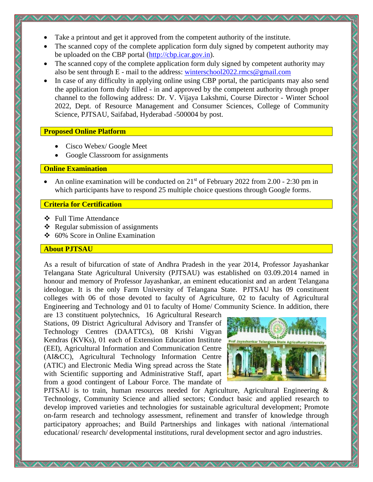- Take a printout and get it approved from the competent authority of the institute.
- The scanned copy of the complete application form duly signed by competent authority may be uploaded on the CBP portal [\(http://cbp.icar.gov.in\)](http://cbp.icar.gov.in/).
- The scanned copy of the complete application form duly signed by competent authority may also be sent through E - mail to the address: [winterschool2022.rmcs@gmail.com](mailto:winterschool2022.rmcs@gmail.com)
- In case of any difficulty in applying online using CBP portal, the participants may also send the application form duly filled - in and approved by the competent authority through proper channel to the following address: Dr. V. Vijaya Lakshmi, Course Director - Winter School 2022, Dept. of Resource Management and Consumer Sciences, College of Community Science, PJTSAU, Saifabad, Hyderabad -500004 by post.

# **Proposed Online Platform**

- Cisco Webex/ Google Meet
- Google Classroom for assignments

## **Online Examination**

An online examination will be conducted on 21<sup>st</sup> of February 2022 from 2.00 - 2:30 pm in which participants have to respond 25 multiple choice questions through Google forms.

# **Criteria for Certification**

- ❖ Full Time Attendance
- $\triangleleft$  Regular submission of assignments
- ❖ 60% Score in Online Examination

# **About PJTSAU**

As a result of bifurcation of state of Andhra Pradesh in the year 2014, Professor Jayashankar Telangana State Agricultural University (PJTSAU) was established on 03.09.2014 named in honour and memory of Professor Jayashankar, an eminent educationist and an ardent Telangana ideologue. It is the only Farm University of Telangana State. PJTSAU has 09 constituent colleges with 06 of those devoted to faculty of Agriculture, 02 to faculty of Agricultural Engineering and Technology and 01 to faculty of Home/ Community Science. In addition, there

are 13 constituent polytechnics, 16 Agricultural Research Stations, 09 District Agricultural Advisory and Transfer of Technology Centres (DAATTCs), 08 Krishi Vigyan Kendras (KVKs), 01 each of Extension Education Institute (EEI), Agricultural Information and Communication Centre (AI&CC), Agricultural Technology Information Centre (ATIC) and Electronic Media Wing spread across the State with Scientific supporting and Administrative Staff, apart from a good contingent of Labour Force. The mandate of



PJTSAU is to train, human resources needed for Agriculture, Agricultural Engineering & Technology, Community Science and allied sectors; Conduct basic and applied research to develop improved varieties and technologies for sustainable agricultural development; Promote on-farm research and technology assessment, refinement and transfer of knowledge through participatory approaches; and Build Partnerships and linkages with national /international educational/ research/ developmental institutions, rural development sector and agro industries.